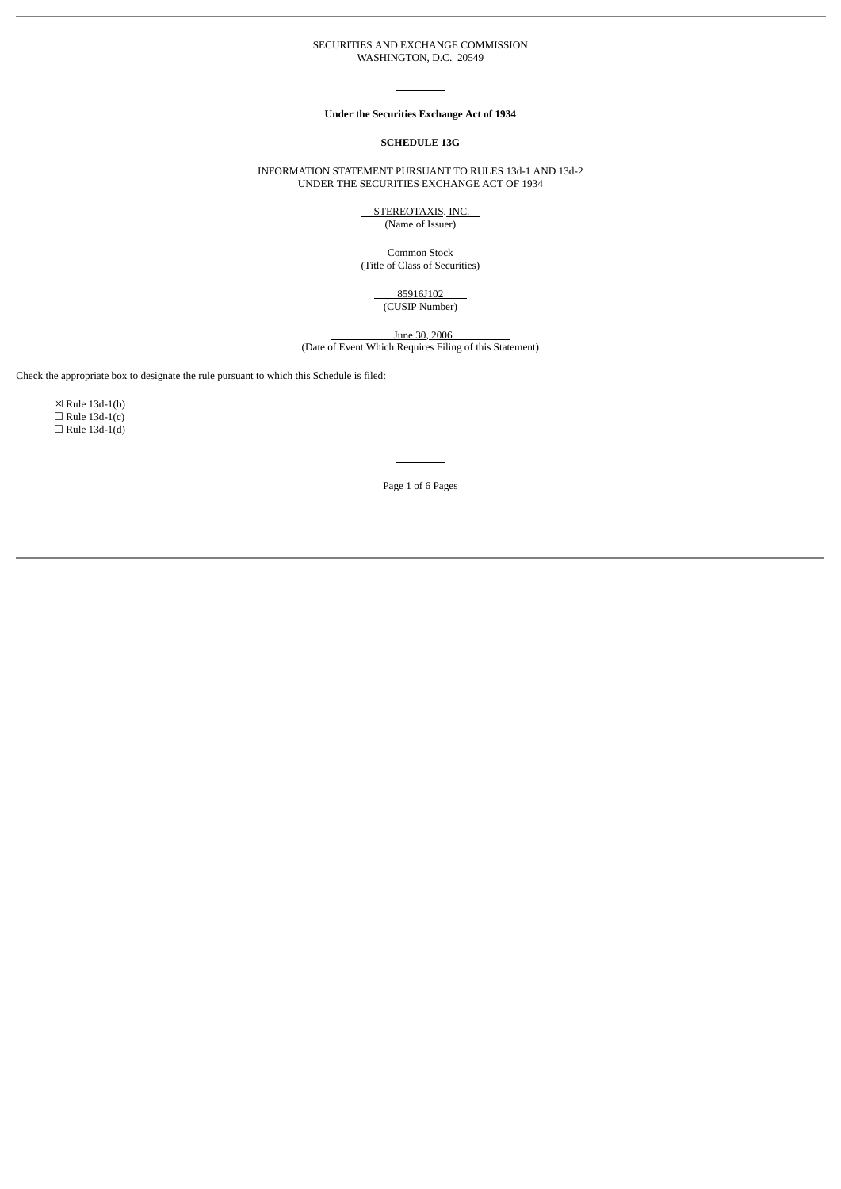#### SECURITIES AND EXCHANGE COMMISSION WASHINGTON, D.C. 20549

#### **Under the Securities Exchange Act of 1934**

#### **SCHEDULE 13G**

INFORMATION STATEMENT PURSUANT TO RULES 13d-1 AND 13d-2 UNDER THE SECURITIES EXCHANGE ACT OF 1934

> STEREOTAXIS, INC. (Name of Issuer)

Common Stock (Title of Class of Securities)

> 85916J102 (CUSIP Number)

> > June 30, 2006

(Date of Event Which Requires Filing of this Statement)

Check the appropriate box to designate the rule pursuant to which this Schedule is filed:

☒ Rule 13d-1(b)  $\Box$  Rule 13d-1(c)  $\Box$  Rule 13d-1(d)

Page 1 of 6 Pages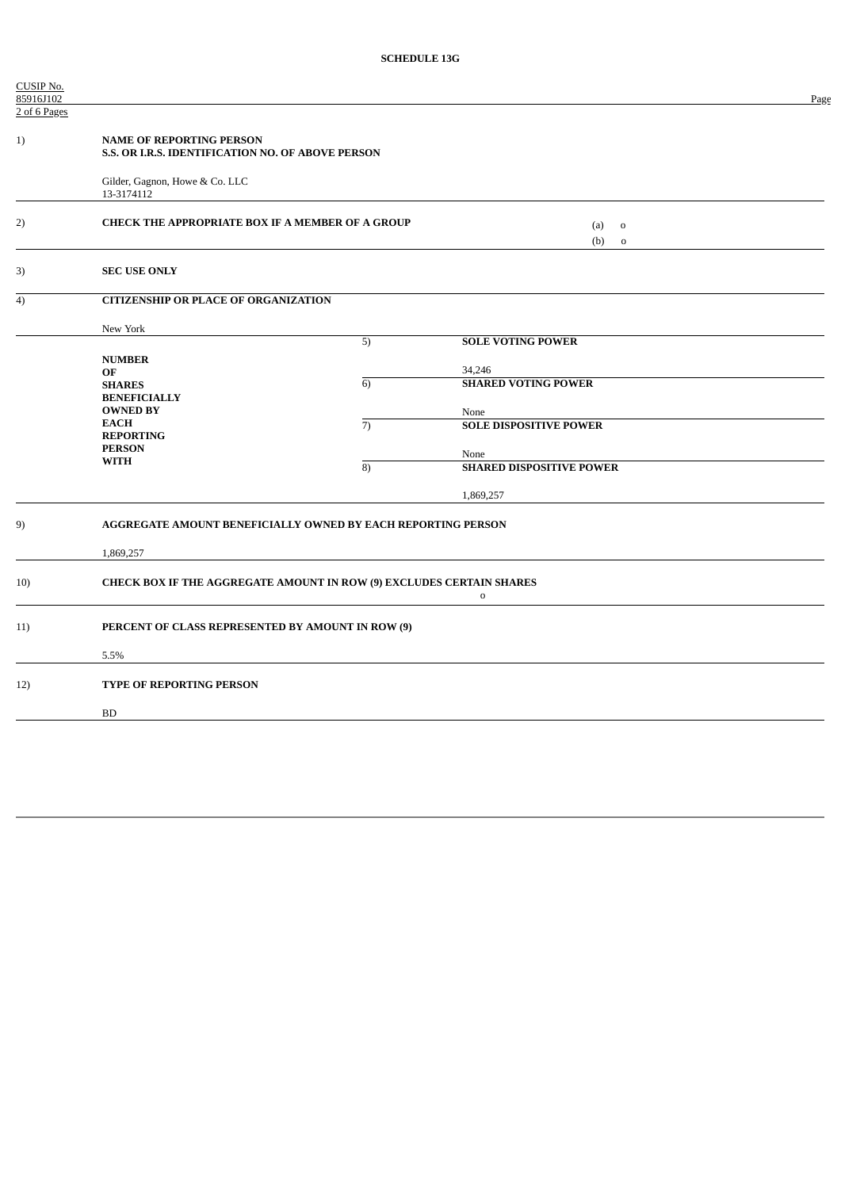| CUSIP No.<br>85916J102 |                                                                                                     |                |                                 | Page |
|------------------------|-----------------------------------------------------------------------------------------------------|----------------|---------------------------------|------|
| 2 of 6 Pages           |                                                                                                     |                |                                 |      |
| 1)                     | <b>NAME OF REPORTING PERSON</b><br>S.S. OR I.R.S. IDENTIFICATION NO. OF ABOVE PERSON                |                |                                 |      |
|                        | Gilder, Gagnon, Howe & Co. LLC<br>13-3174112                                                        |                |                                 |      |
| 2)                     | <b>CHECK THE APPROPRIATE BOX IF A MEMBER OF A GROUP</b><br>(a)<br>$\mathbf 0$<br>(b)<br>$\mathbf 0$ |                |                                 |      |
| 3)                     | <b>SEC USE ONLY</b>                                                                                 |                |                                 |      |
| 4)                     | <b>CITIZENSHIP OR PLACE OF ORGANIZATION</b>                                                         |                |                                 |      |
|                        | New York                                                                                            |                |                                 |      |
|                        |                                                                                                     | 5)             | <b>SOLE VOTING POWER</b>        |      |
|                        | <b>NUMBER</b><br>OF                                                                                 |                | 34,246                          |      |
|                        | <b>SHARES</b>                                                                                       | $\overline{6}$ | <b>SHARED VOTING POWER</b>      |      |
|                        | <b>BENEFICIALLY</b>                                                                                 |                |                                 |      |
|                        | <b>OWNED BY</b><br><b>EACH</b>                                                                      |                | None                            |      |
|                        | <b>REPORTING</b>                                                                                    | $\overline{7}$ | <b>SOLE DISPOSITIVE POWER</b>   |      |
|                        | <b>PERSON</b>                                                                                       |                | None                            |      |
|                        | <b>WITH</b>                                                                                         | $\overline{8}$ | <b>SHARED DISPOSITIVE POWER</b> |      |
|                        |                                                                                                     |                | 1,869,257                       |      |
| 9)                     | AGGREGATE AMOUNT BENEFICIALLY OWNED BY EACH REPORTING PERSON                                        |                |                                 |      |
|                        | 1,869,257                                                                                           |                |                                 |      |
| 10)                    | CHECK BOX IF THE AGGREGATE AMOUNT IN ROW (9) EXCLUDES CERTAIN SHARES<br>$\mathbf 0$                 |                |                                 |      |
| 11)                    | PERCENT OF CLASS REPRESENTED BY AMOUNT IN ROW (9)                                                   |                |                                 |      |
|                        | 5.5%                                                                                                |                |                                 |      |
| 12)                    | TYPE OF REPORTING PERSON                                                                            |                |                                 |      |
|                        | <b>BD</b>                                                                                           |                |                                 |      |
|                        |                                                                                                     |                |                                 |      |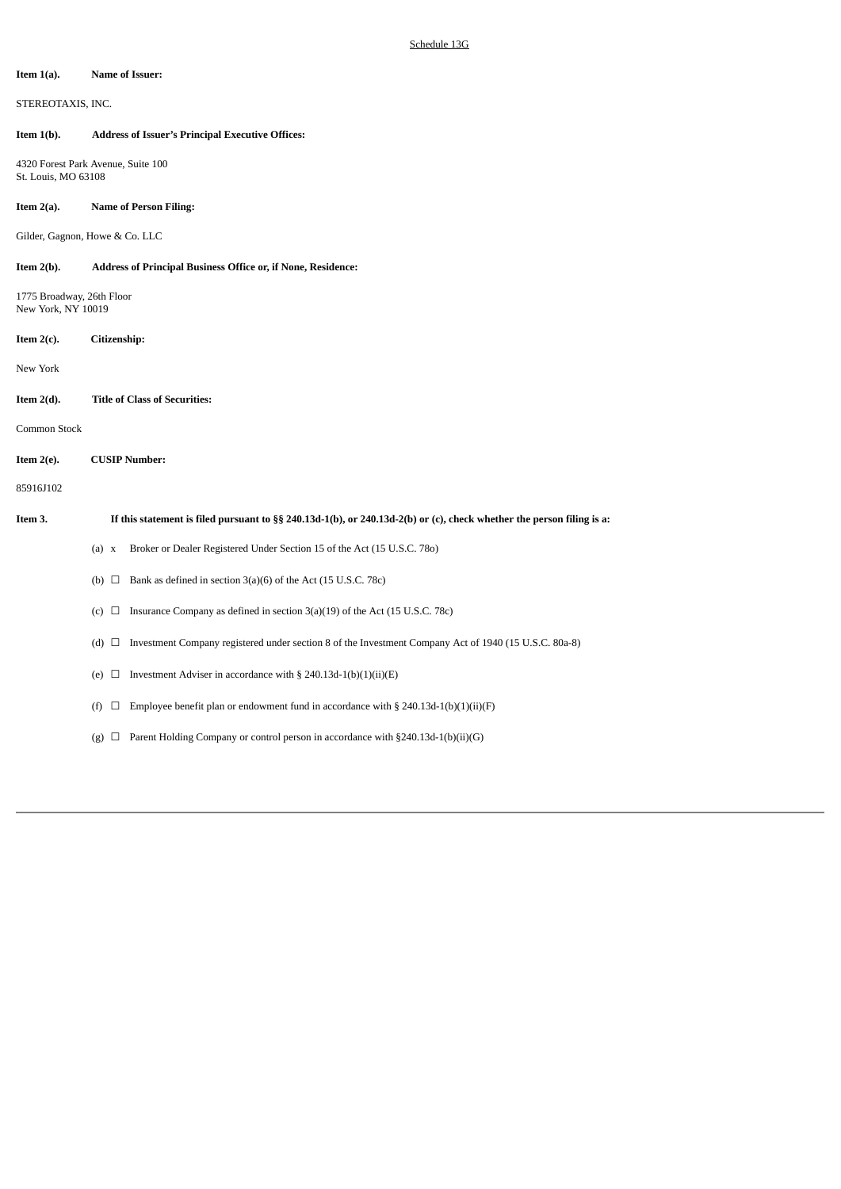#### **Item 1(a). Name of Issuer:**

STEREOTAXIS, INC.

## **Item 1(b). Address of Issuer's Principal Executive Offices:**

4320 Forest Park Avenue, Suite 100 St. Louis, MO 63108

# **Item 2(a). Name of Person Filing:**

Gilder, Gagnon, Howe & Co. LLC

**Item 2(b). Address of Principal Business Office or, if None, Residence:**

1775 Broadway, 26th Floor New York, NY 10019

# **Item 2(c). Citizenship:**

New York

**Item 2(d). Title of Class of Securities:**

Common Stock

# **Item 2(e). CUSIP Number:**

85916J102

## If this statement is filed pursuant to §§ 240.13d-1(b), or 240.13d-2(b) or (c), check whether the person filing is a:

- (a) x Broker or Dealer Registered Under Section 15 of the Act (15 U.S.C. 78o)
- (b)  $\Box$  Bank as defined in section 3(a)(6) of the Act (15 U.S.C. 78c)
- (c)  $\Box$  Insurance Company as defined in section 3(a)(19) of the Act (15 U.S.C. 78c)
- (d) ☐ Investment Company registered under section 8 of the Investment Company Act of 1940 (15 U.S.C. 80a-8)
- (e)  $\Box$  Investment Adviser in accordance with § 240.13d-1(b)(1)(ii)(E)
- (f)  $\Box$  Employee benefit plan or endowment fund in accordance with § 240.13d-1(b)(1)(ii)(F)
- (g)  $\Box$  Parent Holding Company or control person in accordance with §240.13d-1(b)(ii)(G)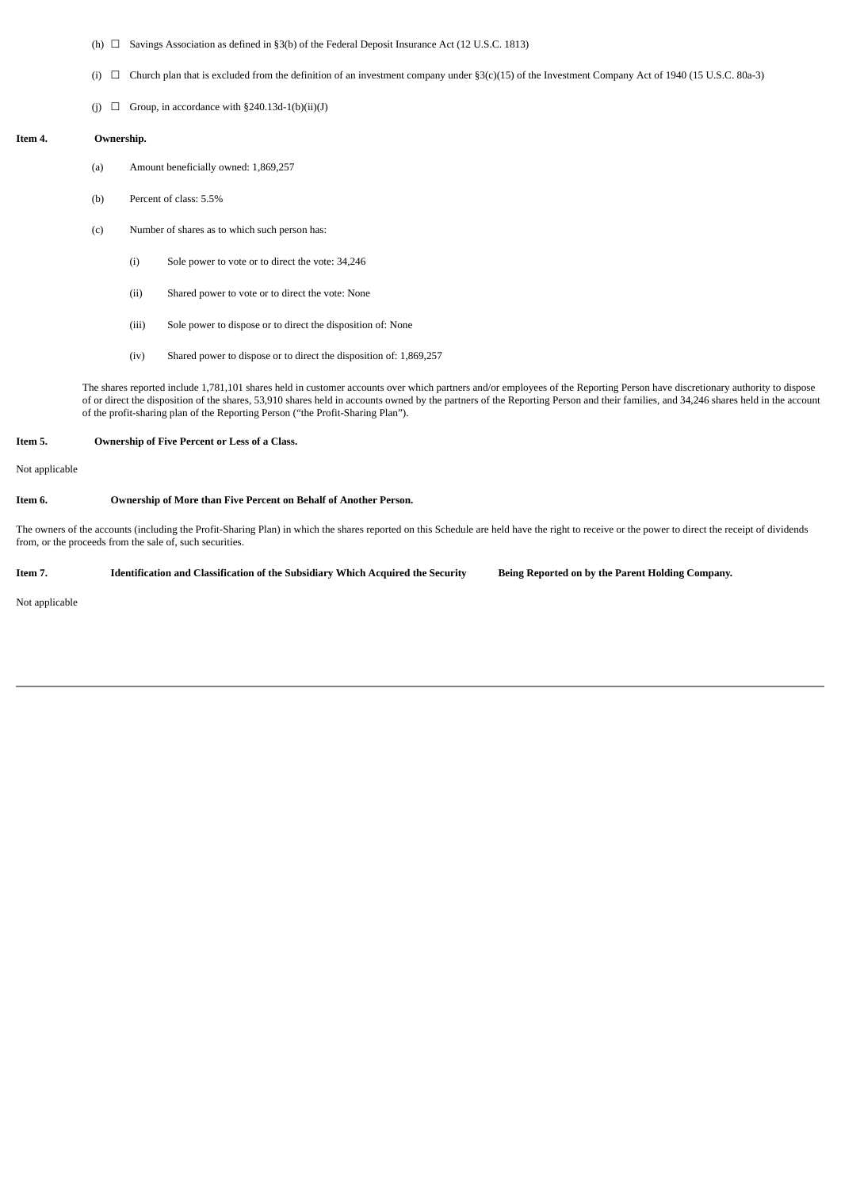- (h)  $\Box$  Savings Association as defined in §3(b) of the Federal Deposit Insurance Act (12 U.S.C. 1813)
- (i)  $\Box$  Church plan that is excluded from the definition of an investment company under §3(c)(15) of the Investment Company Act of 1940 (15 U.S.C. 80a-3)
- (j)  $\Box$  Group, in accordance with §240.13d-1(b)(ii)(J)

#### **Item 4. Ownership.**

- (a) Amount beneficially owned: 1,869,257
- (b) Percent of class: 5.5%
- (c) Number of shares as to which such person has:
	- (i) Sole power to vote or to direct the vote: 34,246
	- (ii) Shared power to vote or to direct the vote: None
	- (iii) Sole power to dispose or to direct the disposition of: None
	- (iv) Shared power to dispose or to direct the disposition of: 1,869,257

The shares reported include 1,781,101 shares held in customer accounts over which partners and/or employees of the Reporting Person have discretionary authority to dispose of or direct the disposition of the shares, 53,910 shares held in accounts owned by the partners of the Reporting Person and their families, and 34,246 shares held in the account of the profit-sharing plan of the Reporting Person ("the Profit-Sharing Plan").

## **Item 5. Ownership of Five Percent or Less of a Class.**

Not applicable

## **Item 6. Ownership of More than Five Percent on Behalf of Another Person.**

The owners of the accounts (including the Profit-Sharing Plan) in which the shares reported on this Schedule are held have the right to receive or the power to direct the receipt of dividends from, or the proceeds from the sale of, such securities.

Item 7. Identification and Classification of the Subsidiary Which Acquired the Security Being Reported on by the Parent Holding Company.

Not applicable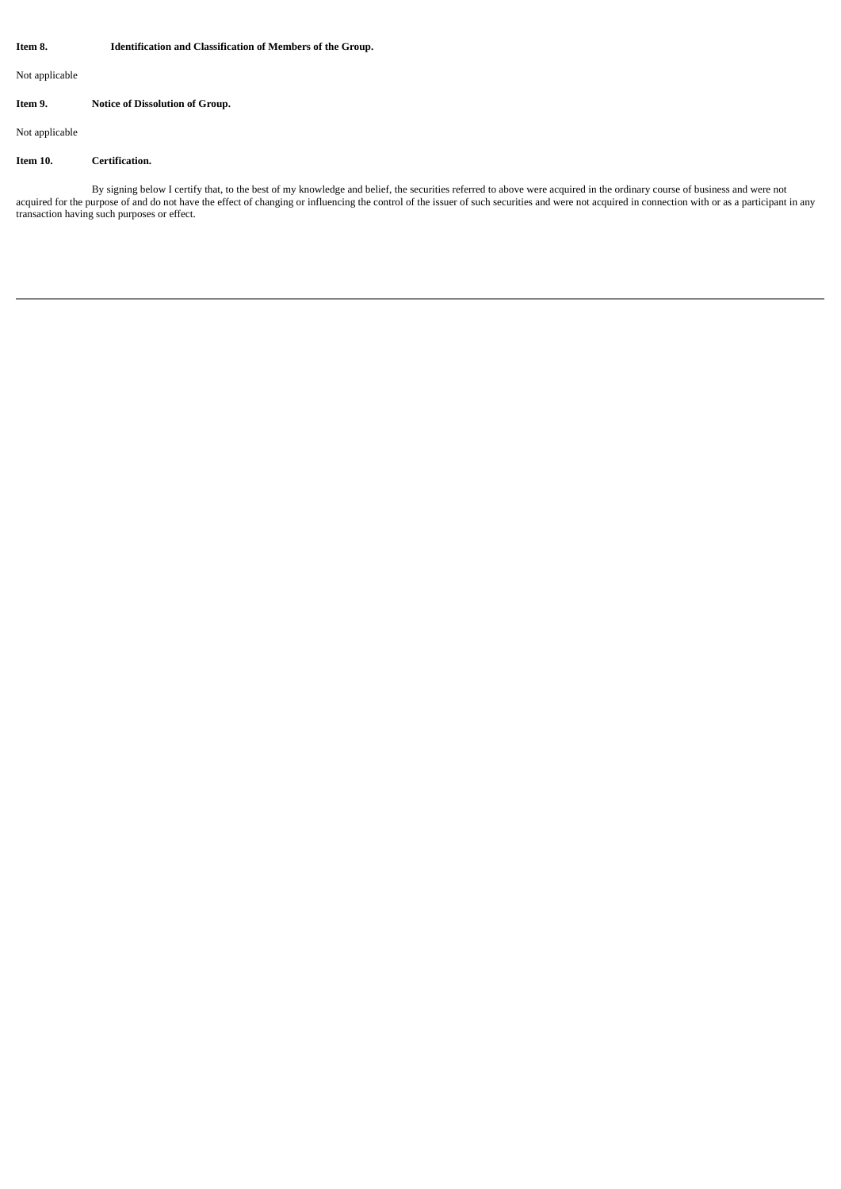## **Item 8. Identification and Classification of Members of the Group.**

Not applicable

# **Item 9. Notice of Dissolution of Group.**

Not applicable

## **Item 10. Certification.**

By signing below I certify that, to the best of my knowledge and belief, the securities referred to above were acquired in the ordinary course of business and were not acquired for the purpose of and do not have the effect of changing or influencing the control of the issuer of such securities and were not acquired in connection with or as a participant in any transaction having such purposes or effect.